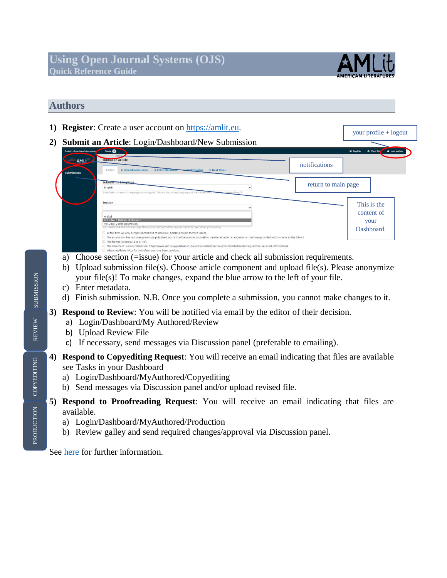# **Using Open Journal Systems (OJS) Quick Reference Guide**



your profile + logout

### **Authors**

- **1) Register**: Create a user account on [https://amlit.eu.](https://amlit.eu/)
- **2) Submit an Article**: Login/Dashboard/New Submission

| <b>AmLit - American Literaturer</b> | Tasks <sup>O</sup>                                                                                                                                                                                                                                                                                                                                                                                                                                                                                                                            |                     | <b>Q</b> English | · View Sitz                                     | <b>4</b> test author |
|-------------------------------------|-----------------------------------------------------------------------------------------------------------------------------------------------------------------------------------------------------------------------------------------------------------------------------------------------------------------------------------------------------------------------------------------------------------------------------------------------------------------------------------------------------------------------------------------------|---------------------|------------------|-------------------------------------------------|----------------------|
| AMLib<br><b>Submissions</b>         | <b>Submit an Article</b><br>notifications<br>2. Upload Submission<br>1. Start<br>3. Enter Metauata Confirmation<br>5. Next Steps                                                                                                                                                                                                                                                                                                                                                                                                              |                     |                  |                                                 |                      |
|                                     | Submission Language<br>English<br>Submissions in several languages are accepted. Choose the primary language of the submission from<br>www.mullelown.above.                                                                                                                                                                                                                                                                                                                                                                                   | return to main page |                  |                                                 |                      |
|                                     | Section<br>Artikel<br>Vol. 2 No. 1 Fictions of Distance<br>Vol. 2 No. 2 John Dos Passos<br>You must read and acknowledge that you've completed the requirements below before proceeding.                                                                                                                                                                                                                                                                                                                                                      |                     |                  | This is the<br>content of<br>your<br>Dashboard. |                      |
|                                     | $\Box$ At this time we only accept submissions of individual articles and not themed issues.<br>□ The submission has not been previously published, nor is it before another journal for consideration (or an explanation has been provided in Comments to the Editor).<br>The format is correct (.doc or .rtf).<br>□ The document is anonymized (see: https://www.siam.org/publications/journals/related/journal-policies/detail/protecting-referee-personal-information).<br>□ Where available, URLs for the references have been provided. |                     |                  |                                                 |                      |

- a) Choose section (=issue) for your article and check all submission requirements.
- b) Upload submission file(s). Choose article component and upload file(s). Please anonymize your file(s)! To make changes, expand the blue arrow to the left of your file.
- c) Enter metadata.
- d) Finish submission. N.B. Once you complete a submission, you cannot make changes to it.
- **3) Respond to Review**: You will be notified via email by the editor of their decision.
	- a) Login/Dashboard/My Authored/Review
	- b) Upload Review File
	- c) If necessary, send messages via Discussion panel (preferable to emailing).
- **4) Respond to Copyediting Request**: You will receive an email indicating that files are available see Tasks in your Dashboard
	- a) Login/Dashboard/MyAuthored/Copyediting
	- b) Send messages via Discussion panel and/or upload revised file.
- **5) Respond to Proofreading Request**: You will receive an email indicating that files are available.
	- a) Login/Dashboard/MyAuthored/Production
	- b) Review galley and send required changes/approval via Discussion panel.

See [here](https://docs.pkp.sfu.ca/learning-ojs/3.1/en/authoring) for further information.

COPYEDITING

PRODUCTION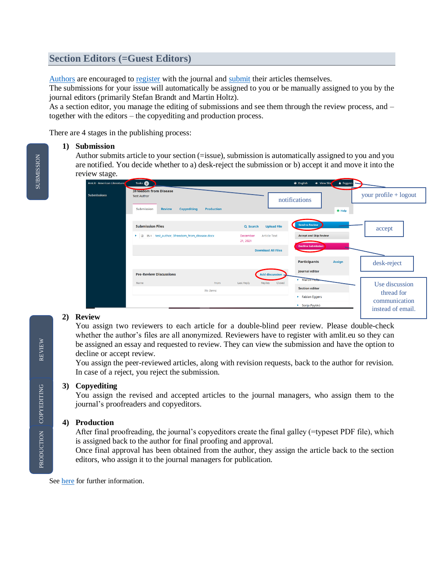## **Section Editors (=Guest Editors)**

[Authors](https://docs.pkp.sfu.ca/learning-ojs/3.1/en/authoring) are encouraged to [register](https://docs.pkp.sfu.ca/learning-ojs/3.1/en/user-accounts#registering-with-a-journal) with the journal and [submit](https://docs.pkp.sfu.ca/learning-ojs/3.1/en/authoring#submitting-an-article) their articles themselves.

The submissions for your issue will automatically be assigned to you or be manually assigned to you by the journal editors (primarily Stefan Brandt and Martin Holtz).

As a section editor, you manage the editing of submissions and see them through the review process, and – together with the editors – the copyediting and production process.

There are 4 stages in the publishing process:

#### **1) Submission**

Author submits article to your section (=issue), submission is automatically assigned to you and you are notified. You decide whether to a) desk-reject the submission or b) accept it and move it into the review stage.



#### **2) Review**

You assign two reviewers to each article for a double-blind peer review. Please double-check whether the author's files are all anonymized. Reviewers have to register with amlit.eu so they can be assigned an essay and requested to review. They can view the submission and have the option to decline or accept review.

You assign the peer-reviewed articles, along with revision requests, back to the author for revision. In case of a reject, you reject the submission.

#### **3) Copyediting**

You assign the revised and accepted articles to the journal managers, who assign them to the journal's proofreaders and copyeditors.

#### **4) Production**

After final proofreading, the journal's copyeditors create the final galley (=typeset PDF file), which is assigned back to the author for final proofing and approval.

Once final approval has been obtained from the author, they assign the article back to the section editors, who assign it to the journal managers for publication.

See [here](https://docs.pkp.sfu.ca/learning-ojs/3.1/en/editorial-workflow) for further information.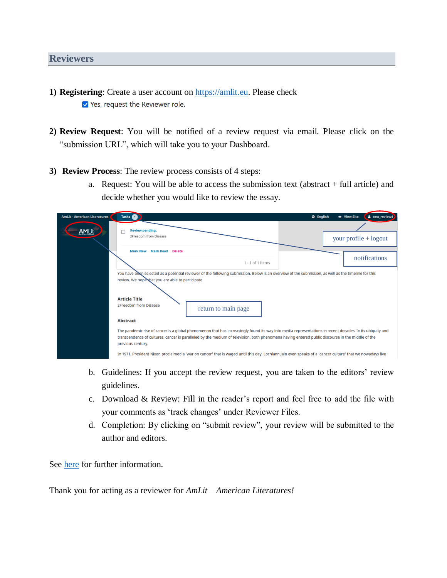### **Reviewers**

- **1) Registering**: Create a user account on [https://amlit.eu.](https://amlit.eu/) Please check V Yes, request the Reviewer role.
- **2) Review Request**: You will be notified of a review request via email. Please click on the "submission URL", which will take you to your Dashboard.
- **3) Review Process**: The review process consists of 4 steps:
	- a. Request: You will be able to access the submission text (abstract + full article) and decide whether you would like to review the essay.

| <b>AmLit - American Literatures</b> | Tasks <sup>1</sup>                                                                                                                                                                                                                                                                                                                | & test_review4<br><b>Q</b> English<br>● View Site |
|-------------------------------------|-----------------------------------------------------------------------------------------------------------------------------------------------------------------------------------------------------------------------------------------------------------------------------------------------------------------------------------|---------------------------------------------------|
| AMLit                               | <b>Review pending.</b><br>2Freedom from Disease                                                                                                                                                                                                                                                                                   | your profile $+$ logout                           |
|                                     | <b>Mark New</b><br><b>Mark Read</b><br><b>Delete</b>                                                                                                                                                                                                                                                                              |                                                   |
|                                     | $1 - 1$ of 1 items                                                                                                                                                                                                                                                                                                                | notifications                                     |
|                                     | You have been selected as a potential reviewer of the following submission. Below is an overview of the submission, as well as the timeline for this<br>review. We hope that you are able to participate.<br><b>Article Title</b><br>2Freedom from Disease<br>return to main page                                                 |                                                   |
|                                     | <b>Abstract</b>                                                                                                                                                                                                                                                                                                                   |                                                   |
|                                     | The pandemic rise of cancer is a global phenomenon that has increasingly found its way into media representations in recent decades. In its ubiquity and<br>transcendence of cultures, cancer is paralleled by the medium of television, both phenomena having entered public discourse in the middle of the<br>previous century. |                                                   |
|                                     | In 1971, President Nixon proclaimed a 'war on cancer' that is waged until this day. Lochlann Jain even speaks of a 'cancer culture' that we nowadays live                                                                                                                                                                         |                                                   |

- b. Guidelines: If you accept the review request, you are taken to the editors' review guidelines.
- c. Download & Review: Fill in the reader's report and feel free to add the file with your comments as 'track changes' under Reviewer Files.
- d. Completion: By clicking on "submit review", your review will be submitted to the author and editors.

See [here](https://docs.pkp.sfu.ca/learning-ojs/en/reviewing) for further information.

Thank you for acting as a reviewer for *AmLit – American Literatures!*